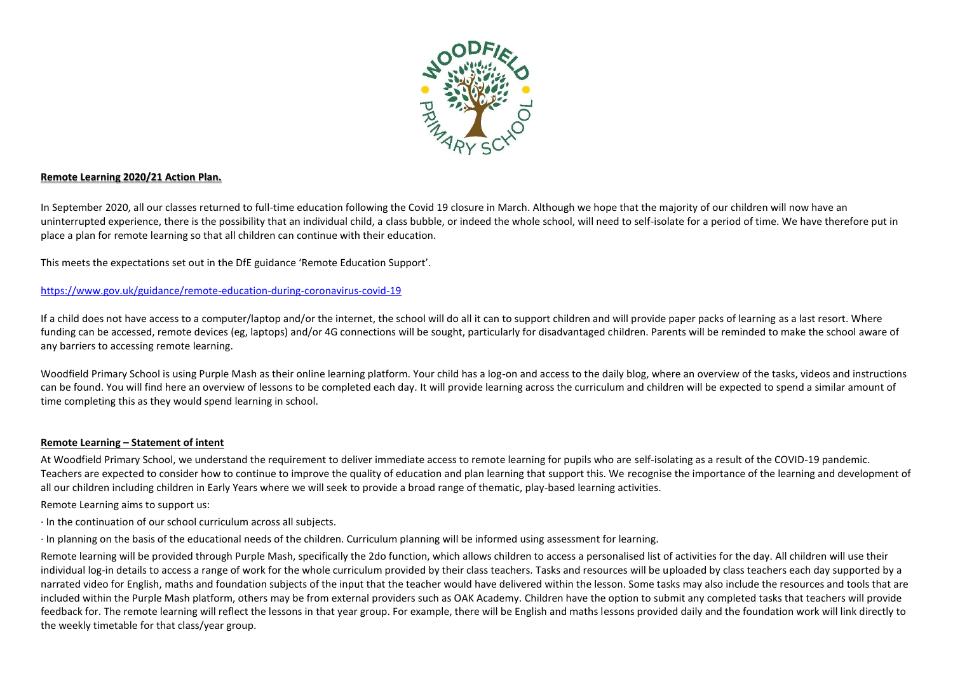

#### **Remote Learning 2020/21 Action Plan.**

In September 2020, all our classes returned to full-time education following the Covid 19 closure in March. Although we hope that the majority of our children will now have an uninterrupted experience, there is the possibility that an individual child, a class bubble, or indeed the whole school, will need to self-isolate for a period of time. We have therefore put in place a plan for remote learning so that all children can continue with their education.

This meets the expectations set out in the DfE guidance 'Remote Education Support'.

<https://www.gov.uk/guidance/remote-education-during-coronavirus-covid-19>

If a child does not have access to a computer/laptop and/or the internet, the school will do all it can to support children and will provide paper packs of learning as a last resort. Where funding can be accessed, remote devices (eg, laptops) and/or 4G connections will be sought, particularly for disadvantaged children. Parents will be reminded to make the school aware of any barriers to accessing remote learning.

Woodfield Primary School is using Purple Mash as their online learning platform. Your child has a log-on and access to the daily blog, where an overview of the tasks, videos and instructions can be found. You will find here an overview of lessons to be completed each day. It will provide learning across the curriculum and children will be expected to spend a similar amount of time completing this as they would spend learning in school.

## **Remote Learning – Statement of intent**

At Woodfield Primary School, we understand the requirement to deliver immediate access to remote learning for pupils who are self-isolating as a result of the COVID-19 pandemic. Teachers are expected to consider how to continue to improve the quality of education and plan learning that support this. We recognise the importance of the learning and development of all our children including children in Early Years where we will seek to provide a broad range of thematic, play-based learning activities.

Remote Learning aims to support us:

· In the continuation of our school curriculum across all subjects.

· In planning on the basis of the educational needs of the children. Curriculum planning will be informed using assessment for learning.

Remote learning will be provided through Purple Mash, specifically the 2do function, which allows children to access a personalised list of activities for the day. All children will use their individual log-in details to access a range of work for the whole curriculum provided by their class teachers. Tasks and resources will be uploaded by class teachers each day supported by a narrated video for English, maths and foundation subjects of the input that the teacher would have delivered within the lesson. Some tasks may also include the resources and tools that are included within the Purple Mash platform, others may be from external providers such as OAK Academy. Children have the option to submit any completed tasks that teachers will provide feedback for. The remote learning will reflect the lessons in that year group. For example, there will be English and maths lessons provided daily and the foundation work will link directly to the weekly timetable for that class/year group.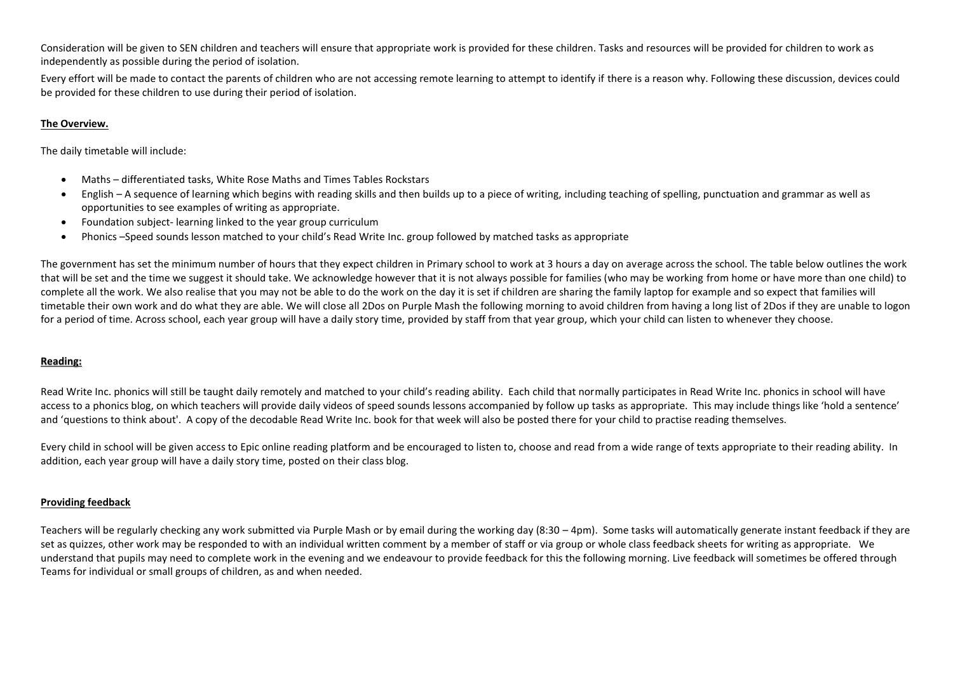Consideration will be given to SEN children and teachers will ensure that appropriate work is provided for these children. Tasks and resources will be provided for children to work as independently as possible during the period of isolation.

Every effort will be made to contact the parents of children who are not accessing remote learning to attempt to identify if there is a reason why. Following these discussion, devices could be provided for these children to use during their period of isolation.

## **The Overview.**

The daily timetable will include:

- Maths differentiated tasks, White Rose Maths and Times Tables Rockstars
- English A sequence of learning which begins with reading skills and then builds up to a piece of writing, including teaching of spelling, punctuation and grammar as well as opportunities to see examples of writing as appropriate.
- Foundation subject- learning linked to the year group curriculum
- Phonics –Speed sounds lesson matched to your child's Read Write Inc. group followed by matched tasks as appropriate

The government has set the minimum number of hours that they expect children in Primary school to work at 3 hours a day on average across the school. The table below outlines the work that will be set and the time we suggest it should take. We acknowledge however that it is not always possible for families (who may be working from home or have more than one child) to complete all the work. We also realise that you may not be able to do the work on the day it is set if children are sharing the family laptop for example and so expect that families will timetable their own work and do what they are able. We will close all 2Dos on Purple Mash the following morning to avoid children from having a long list of 2Dos if they are unable to logon for a period of time. Across school, each year group will have a daily story time, provided by staff from that year group, which your child can listen to whenever they choose.

## **Reading:**

Read Write Inc. phonics will still be taught daily remotely and matched to your child's reading ability. Each child that normally participates in Read Write Inc. phonics in school will have access to a phonics blog, on which teachers will provide daily videos of speed sounds lessons accompanied by follow up tasks as appropriate. This may include things like 'hold a sentence' and 'questions to think about'. A copy of the decodable Read Write Inc. book for that week will also be posted there for your child to practise reading themselves.

Every child in school will be given access to Epic online reading platform and be encouraged to listen to, choose and read from a wide range of texts appropriate to their reading ability. In addition, each year group will have a daily story time, posted on their class blog.

## **Providing feedback**

Teachers will be regularly checking any work submitted via Purple Mash or by email during the working day (8:30 – 4pm). Some tasks will automatically generate instant feedback if they are set as quizzes, other work may be responded to with an individual written comment by a member of staff or via group or whole class feedback sheets for writing as appropriate. We understand that pupils may need to complete work in the evening and we endeavour to provide feedback for this the following morning. Live feedback will sometimes be offered through Teams for individual or small groups of children, as and when needed.